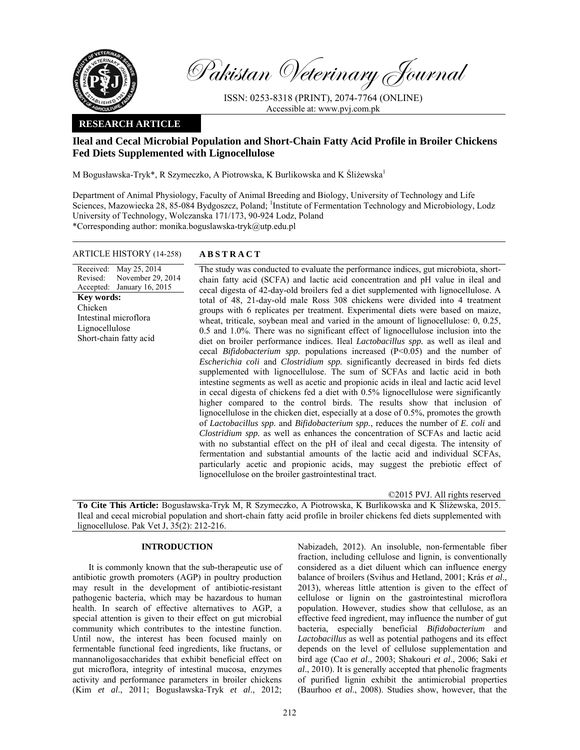

Pakistan Veterinary Journal

ISSN: 0253-8318 (PRINT), 2074-7764 (ONLINE) Accessible at: www.pvj.com.pk

## **RESEARCH ARTICLE**

# **Ileal and Cecal Microbial Population and Short-Chain Fatty Acid Profile in Broiler Chickens Fed Diets Supplemented with Lignocellulose**

M Bogusławska-Tryk\*, R Szymeczko, A Piotrowska, K Burlikowska and K Śliżewska<sup>1</sup>

Department of Animal Physiology, Faculty of Animal Breeding and Biology, University of Technology and Life Sciences, Mazowiecka 28, 85-084 Bydgoszcz, Poland; <sup>1</sup>Institute of Fermentation Technology and Microbiology, Lodz University of Technology, Wolczanska 171/173, 90-924 Lodz, Poland \*Corresponding author: monika.boguslawska-tryk@utp.edu.pl

## ARTICLE HISTORY (14-258) **ABSTRACT**

Received: May 25, 2014 Revised: Accepted: November 29, 2014 January 16, 2015 **Key words:**  Chicken Intestinal microflora Lignocellulose Short-chain fatty acid

 The study was conducted to evaluate the performance indices, gut microbiota, shortchain fatty acid (SCFA) and lactic acid concentration and pH value in ileal and cecal digesta of 42-day-old broilers fed a diet supplemented with lignocellulose. A total of 48, 21-day-old male Ross 308 chickens were divided into 4 treatment groups with 6 replicates per treatment. Experimental diets were based on maize, wheat, triticale, soybean meal and varied in the amount of lignocellulose: 0, 0.25, 0.5 and 1.0%. There was no significant effect of lignocellulose inclusion into the diet on broiler performance indices. Ileal *Lactobacillus spp.* as well as ileal and cecal *Bifidobacterium spp.* populations increased (P<0.05) and the number of *Escherichia coli* and *Clostridium spp.* significantly decreased in birds fed diets supplemented with lignocellulose. The sum of SCFAs and lactic acid in both intestine segments as well as acetic and propionic acids in ileal and lactic acid level in cecal digesta of chickens fed a diet with 0.5% lignocellulose were significantly higher compared to the control birds. The results show that inclusion of lignocellulose in the chicken diet, especially at a dose of 0.5%, promotes the growth of *Lactobacillus spp.* and *Bifidobacterium spp.*, reduces the number of *E. coli* and *Clostridium spp.* as well as enhances the concentration of SCFAs and lactic acid with no substantial effect on the pH of ileal and cecal digesta. The intensity of fermentation and substantial amounts of the lactic acid and individual SCFAs, particularly acetic and propionic acids, may suggest the prebiotic effect of lignocellulose on the broiler gastrointestinal tract.

©2015 PVJ. All rights reserved

**To Cite This Article:** Bogusławska-Tryk M, R Szymeczko, A Piotrowska, K Burlikowska and K Śliżewska, 2015. Ileal and cecal microbial population and short-chain fatty acid profile in broiler chickens fed diets supplemented with lignocellulose. Pak Vet J, 35(2): 212-216.

## **INTRODUCTION**

It is commonly known that the sub-therapeutic use of antibiotic growth promoters (AGP) in poultry production may result in the development of antibiotic-resistant pathogenic bacteria, which may be hazardous to human health. In search of effective alternatives to AGP, a special attention is given to their effect on gut microbial community which contributes to the intestine function. Until now, the interest has been focused mainly on fermentable functional feed ingredients, like fructans, or mannanoligosaccharides that exhibit beneficial effect on gut microflora, integrity of intestinal mucosa, enzymes activity and performance parameters in broiler chickens (Kim *et al*., 2011; Bogusławska-Tryk *et al*., 2012;

Nabizadeh, 2012). An insoluble, non-fermentable fiber fraction, including cellulose and lignin, is conventionally considered as a diet diluent which can influence energy balance of broilers (Svihus and Hetland, 2001; Krás *et al*., 2013), whereas little attention is given to the effect of cellulose or lignin on the gastrointestinal microflora population. However, studies show that cellulose, as an effective feed ingredient, may influence the number of gut bacteria, especially beneficial *Bifidobacterium* and *Lactobacillus* as well as potential pathogens and its effect depends on the level of cellulose supplementation and bird age (Cao *et al*., 2003; Shakouri *et al*., 2006; Saki *et al*., 2010). It is generally accepted that phenolic fragments of purified lignin exhibit the antimicrobial properties (Baurhoo *et al*., 2008). Studies show, however, that the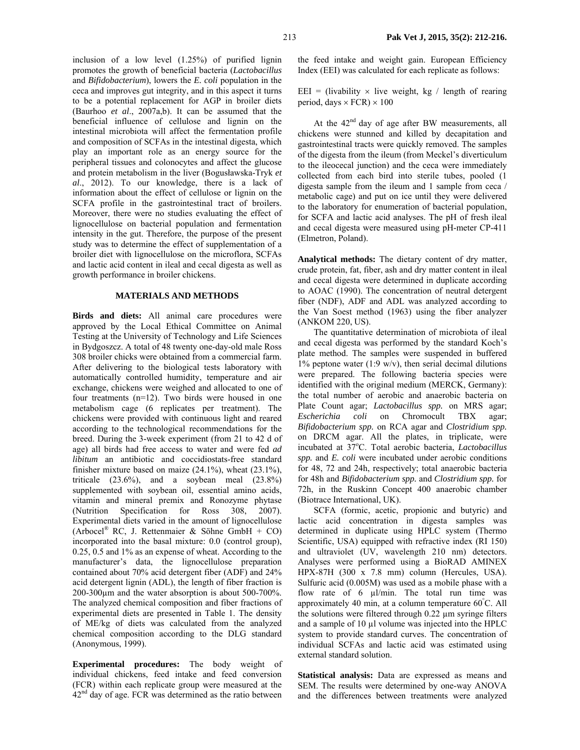inclusion of a low level (1.25%) of purified lignin promotes the growth of beneficial bacteria (*Lactobacillus*  and *Bifidobacterium*), lowers the *E. coli* population in the ceca and improves gut integrity, and in this aspect it turns to be a potential replacement for AGP in broiler diets (Baurhoo *et al*., 2007a,b). It can be assumed that the beneficial influence of cellulose and lignin on the intestinal microbiota will affect the fermentation profile and composition of SCFAs in the intestinal digesta, which play an important role as an energy source for the peripheral tissues and colonocytes and affect the glucose and protein metabolism in the liver (Bogusławska-Tryk *et al*., 2012). To our knowledge, there is a lack of information about the effect of cellulose or lignin on the SCFA profile in the gastrointestinal tract of broilers. Moreover, there were no studies evaluating the effect of lignocellulose on bacterial population and fermentation intensity in the gut. Therefore, the purpose of the present study was to determine the effect of supplementation of a broiler diet with lignocellulose on the microflora, SCFAs and lactic acid content in ileal and cecal digesta as well as growth performance in broiler chickens.

### **MATERIALS AND METHODS**

**Birds and diets:** All animal care procedures were approved by the Local Ethical Committee on Animal Testing at the University of Technology and Life Sciences in Bydgoszcz. A total of 48 twenty one-day-old male Ross 308 broiler chicks were obtained from a commercial farm. After delivering to the biological tests laboratory with automatically controlled humidity, temperature and air exchange, chickens were weighed and allocated to one of four treatments (n=12). Two birds were housed in one metabolism cage (6 replicates per treatment). The chickens were provided with continuous light and reared according to the technological recommendations for the breed. During the 3-week experiment (from 21 to 42 d of age) all birds had free access to water and were fed *ad libitum* an antibiotic and coccidiostats-free standard finisher mixture based on maize (24.1%), wheat (23.1%), triticale (23.6%), and a soybean meal (23.8%) supplemented with soybean oil, essential amino acids, vitamin and mineral premix and Ronozyme phytase (Nutrition Specification for Ross 308, 2007). Experimental diets varied in the amount of lignocellulose (Arbocel® RC, J. Rettenmaier & Söhne GmbH + CO) incorporated into the basal mixture: 0.0 (control group), 0.25, 0.5 and 1% as an expense of wheat. According to the manufacturer's data, the lignocellulose preparation contained about 70% acid detergent fiber (ADF) and 24% acid detergent lignin (ADL), the length of fiber fraction is 200-300µm and the water absorption is about 500-700%. The analyzed chemical composition and fiber fractions of experimental diets are presented in Table 1. The density of ME/kg of diets was calculated from the analyzed chemical composition according to the DLG standard (Anonymous, 1999).

**Experimental procedures:** The body weight of individual chickens, feed intake and feed conversion (FCR) within each replicate group were measured at the  $42<sup>nd</sup>$  day of age. FCR was determined as the ratio between

the feed intake and weight gain. European Efficiency Index (EEI) was calculated for each replicate as follows:

EEI = (livability  $\times$  live weight, kg / length of rearing period, days  $\times$  FCR)  $\times$  100

At the 42<sup>nd</sup> day of age after BW measurements, all chickens were stunned and killed by decapitation and gastrointestinal tracts were quickly removed. The samples of the digesta from the ileum (from Meckel's diverticulum to the ileocecal junction) and the ceca were immediately collected from each bird into sterile tubes, pooled (1 digesta sample from the ileum and 1 sample from ceca / metabolic cage) and put on ice until they were delivered to the laboratory for enumeration of bacterial population, for SCFA and lactic acid analyses. The pH of fresh ileal and cecal digesta were measured using pH-meter CP-411 (Elmetron, Poland).

**Analytical methods:** The dietary content of dry matter, crude protein, fat, fiber, ash and dry matter content in ileal and cecal digesta were determined in duplicate according to AOAC (1990). The concentration of neutral detergent fiber (NDF), ADF and ADL was analyzed according to the Van Soest method (1963) using the fiber analyzer (ANKOM 220, US).

The quantitative determination of microbiota of ileal and cecal digesta was performed by the standard Koch's plate method. The samples were suspended in buffered 1% peptone water (1:9 w/v), then serial decimal dilutions were prepared. The following bacteria species were identified with the original medium (MERCK, Germany): the total number of aerobic and anaerobic bacteria on Plate Count agar; *Lactobacillus spp.* on MRS agar; *Escherichia coli* on Chromocult TBX agar; *Bifidobacterium spp.* on RCA agar and *Clostridium spp.*  on DRCM agar. All the plates, in triplicate, were incubated at 37<sup>o</sup> C. Total aerobic bacteria, *Lactobacillus spp.* and *E. coli* were incubated under aerobic conditions for 48, 72 and 24h, respectively; total anaerobic bacteria for 48h and *Bifidobacterium spp.* and *Clostridium spp.* for 72h, in the Ruskinn Concept 400 anaerobic chamber (Biotrace International, UK).

SCFA (formic, acetic, propionic and butyric) and lactic acid concentration in digesta samples was determined in duplicate using HPLC system (Thermo Scientific, USA) equipped with refractive index (RI 150) and ultraviolet (UV, wavelength 210 nm) detectors. Analyses were performed using a BioRAD AMINEX HPX-87H (300 x 7.8 mm) column (Hercules, USA). Sulfuric acid (0.005M) was used as a mobile phase with a flow rate of 6  $\mu$ l/min. The total run time was approximately 40 min, at a column temperature 60° C. All the solutions were filtered through  $0.22 \mu m$  syringe filters and a sample of 10 µl volume was injected into the HPLC system to provide standard curves. The concentration of individual SCFAs and lactic acid was estimated using external standard solution.

**Statistical analysis:** Data are expressed as means and SEM. The results were determined by one-way ANOVA and the differences between treatments were analyzed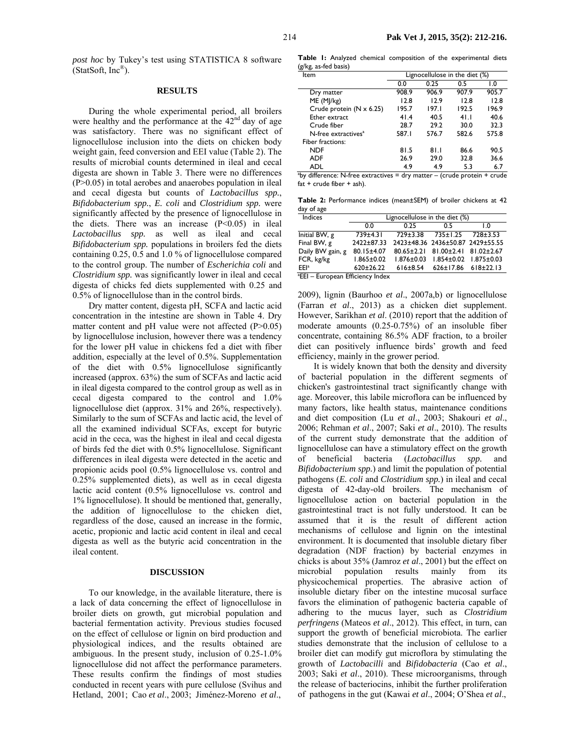*post hoc* by Tukey's test using STATISTICA 8 software (StatSoft, Inc<sup>®</sup>).

## **RESULTS**

During the whole experimental period, all broilers were healthy and the performance at the  $42<sup>nd</sup>$  day of age was satisfactory. There was no significant effect of lignocellulose inclusion into the diets on chicken body weight gain, feed conversion and EEI value (Table 2). The results of microbial counts determined in ileal and cecal digesta are shown in Table 3. There were no differences (P>0.05) in total aerobes and anaerobes population in ileal and cecal digesta but counts of *Lactobacillus spp.*, *Bifidobacterium spp.*, *E. coli* and *Clostridium spp.* were significantly affected by the presence of lignocellulose in the diets. There was an increase (P<0.05) in ileal *Lactobacillus spp.* as well as ileal and cecal *Bifidobacterium spp.* populations in broilers fed the diets containing 0.25, 0.5 and 1.0 % of lignocellulose compared to the control group. The number of *Escherichia coli* and *Clostridium spp.* was significantly lower in ileal and cecal digesta of chicks fed diets supplemented with 0.25 and 0.5% of lignocellulose than in the control birds.

Dry matter content, digesta pH, SCFA and lactic acid concentration in the intestine are shown in Table 4. Dry matter content and pH value were not affected (P>0.05) by lignocellulose inclusion, however there was a tendency for the lower pH value in chickens fed a diet with fiber addition, especially at the level of 0.5%. Supplementation of the diet with 0.5% lignocellulose significantly increased (approx. 63%) the sum of SCFAs and lactic acid in ileal digesta compared to the control group as well as in cecal digesta compared to the control and 1.0% lignocellulose diet (approx. 31% and 26%, respectively). Similarly to the sum of SCFAs and lactic acid, the level of all the examined individual SCFAs, except for butyric acid in the ceca, was the highest in ileal and cecal digesta of birds fed the diet with 0.5% lignocellulose. Significant differences in ileal digesta were detected in the acetic and propionic acids pool (0.5% lignocellulose vs. control and 0.25% supplemented diets), as well as in cecal digesta lactic acid content (0.5% lignocellulose vs. control and 1% lignocellulose). It should be mentioned that, generally, the addition of lignocellulose to the chicken diet, regardless of the dose, caused an increase in the formic, acetic, propionic and lactic acid content in ileal and cecal digesta as well as the butyric acid concentration in the ileal content.

#### **DISCUSSION**

To our knowledge, in the available literature, there is a lack of data concerning the effect of lignocellulose in broiler diets on growth, gut microbial population and bacterial fermentation activity. Previous studies focused on the effect of cellulose or lignin on bird production and physiological indices, and the results obtained are ambiguous. In the present study, inclusion of 0.25-1.0% lignocellulose did not affect the performance parameters. These results confirm the findings of most studies conducted in recent years with pure cellulose (Svihus and Hetland, 2001; Cao *et al*., 2003; Jiménez-Moreno *et al*.,

| Item                                                                    | Lignocellulose in the diet (%) |       |       |       |
|-------------------------------------------------------------------------|--------------------------------|-------|-------|-------|
|                                                                         | 0.0                            | 0.25  | 0.5   | 1.0   |
| Dry matter                                                              | 908.9                          | 906.9 | 907.9 | 905.7 |
| ME (MJ/kg)                                                              | 12.8                           | 12.9  | 12.8  | 12.8  |
| Crude protein $(N \times 6.25)$                                         | 195.7                          | 197.1 | 192.5 | 196.9 |
| Ether extract                                                           | 41.4                           | 40.5  | 41.1  | 40.6  |
| Crude fiber                                                             | 28.7                           | 29.2  | 30.0  | 32.3  |
| N-free extractives <sup>a</sup>                                         | 587.I                          | 576.7 | 582.6 | 575.8 |
| Fiber fractions:                                                        |                                |       |       |       |
| NDF                                                                     | 81.5                           | 81.1  | 86.6  | 90.5  |
| ADF                                                                     | 26.9                           | 29.0  | 32.8  | 36.6  |
| ADL                                                                     | 4.9                            | 4.9   | 5.3   | 6.7   |
| by difference: N-free extractives = dry matter – (crude protein + crude |                                |       |       |       |

 $fat + crude fiber + ash).$ 

**Table 2:** Performance indices (mean±SEM) of broiler chickens at 42 day of age

| <b>Indices</b>                         | Lignocellulose in the diet (%) |                  |                                  |                |  |
|----------------------------------------|--------------------------------|------------------|----------------------------------|----------------|--|
|                                        | 0.0                            | 0.25             | 0.5                              | $\overline{0}$ |  |
| Initial BW, g                          | $739\pm4.3$                    |                  | 729±3.38 735±1.25 728±3.53       |                |  |
| Final BW, g                            | 2422±87.33                     |                  | 2423±48.36 2436±50.87 2429±55.55 |                |  |
| Daily BW gain, g                       | 80.15±4.07                     |                  | 80.65±2.21 81.00±2.41 81.02±2.67 |                |  |
| FCR, kg/kg                             | $1.865 \pm 0.02$               | $1.876 \pm 0.03$ | 1.854±0.02 1.875±0.03            |                |  |
| FFI <sup>a</sup>                       | $620 \pm 26.22$                | $616 \pm 8.54$   | $626 \pm 17.86$ $618 \pm 22.13$  |                |  |
| <b>EEI - European Efficiency Index</b> |                                |                  |                                  |                |  |

2009), lignin (Baurhoo *et al*., 2007a,b) or lignocellulose (Farran *et al*., 2013) as a chicken diet supplement. However, Sarikhan *et al*. (2010) report that the addition of moderate amounts (0.25-0.75%) of an insoluble fiber concentrate, containing 86.5% ADF fraction, to a broiler diet can positively influence birds' growth and feed efficiency, mainly in the grower period.

It is widely known that both the density and diversity of bacterial population in the different segments of chicken's gastrointestinal tract significantly change with age. Moreover, this labile microflora can be influenced by many factors, like health status, maintenance conditions and diet composition (Lu *et al*., 2003; Shakouri *et al*., 2006; Rehman *et al*., 2007; Saki *et al*., 2010). The results of the current study demonstrate that the addition of lignocellulose can have a stimulatory effect on the growth of beneficial bacteria (*Lactobacillus spp.* and *Bifidobacterium spp.*) and limit the population of potential pathogens (*E. coli* and *Clostridium spp.*) in ileal and cecal digesta of 42-day-old broilers. The mechanism of lignocellulose action on bacterial population in the gastrointestinal tract is not fully understood. It can be assumed that it is the result of different action mechanisms of cellulose and lignin on the intestinal environment. It is documented that insoluble dietary fiber degradation (NDF fraction) by bacterial enzymes in chicks is about 35% (Jamroz *et al*., 2001) but the effect on microbial population results mainly from its physicochemical properties. The abrasive action of insoluble dietary fiber on the intestine mucosal surface favors the elimination of pathogenic bacteria capable of adhering to the mucus layer, such as *Clostridium perfringens* (Mateos *et al*., 2012). This effect, in turn, can support the growth of beneficial microbiota. The earlier studies demonstrate that the inclusion of cellulose to a broiler diet can modify gut microflora by stimulating the growth of *Lactobacilli* and *Bifidobacteria* (Cao *et al*., 2003; Saki *et al*., 2010). These microorganisms, through the release of bacteriocins, inhibit the further proliferation of pathogens in the gut (Kawai *et al*., 2004; O'Shea *et al*.,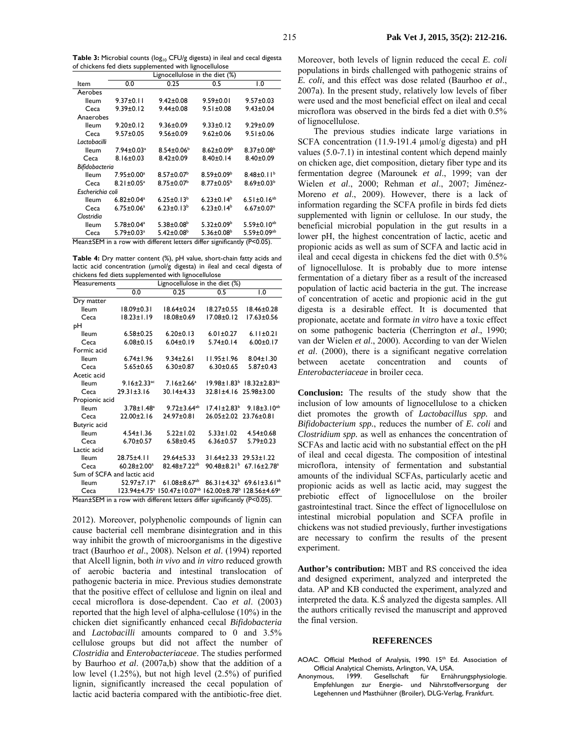Table 3: Microbial counts (log<sub>10</sub> CFU/g digesta) in ileal and cecal digesta of chickens fed diets supplemented with lignocellulose

|                                                                         | Lignocellulose in the diet (%) |                              |                         |                              |  |
|-------------------------------------------------------------------------|--------------------------------|------------------------------|-------------------------|------------------------------|--|
| ltem                                                                    | 0.0                            | 0.25                         | 0.5                     | $\overline{0}$ .             |  |
| Aerobes                                                                 |                                |                              |                         |                              |  |
| lleum                                                                   | $9.37 \pm 0.11$                | $9.42 \pm 0.08$              | $9.59 \pm 0.01$         | $9.57 \pm 0.03$              |  |
| Ceca                                                                    | $9.39 \pm 0.12$                | $9.44 \pm 0.08$              | $9.51 \pm 0.08$         | $9.43 \pm 0.04$              |  |
| Anaerobes                                                               |                                |                              |                         |                              |  |
| lleum                                                                   | $9.20 \pm 0.12$                | $9.36 \pm 0.09$              | $9.33 \pm 0.12$         | $9.29 \pm 0.09$              |  |
| Ceca                                                                    | $9.57 \pm 0.05$                | $9.56 \pm 0.09$              | $9.62 \pm 0.06$         | $9.51 \pm 0.06$              |  |
| Lactobacilli                                                            |                                |                              |                         |                              |  |
| lleum                                                                   | $7.94 \pm 0.03$ <sup>a</sup>   | $8.54 \pm 0.06^b$            | $8.62 \pm 0.09^b$       | $8.37 \pm 0.08^b$            |  |
| Ceca                                                                    | $8.16 \pm 0.03$                | $8.42 \pm 0.09$              | $8.40 \pm 0.14$         | $8.40 \pm 0.09$              |  |
| <b>Bifidobacteria</b>                                                   |                                |                              |                         |                              |  |
| lleum                                                                   | $7.95 \pm 0.00^a$              | $8.57 \pm 0.07^b$            | $8.59 \pm 0.09^b$       | $8.48\pm0.11^{b}$            |  |
| Ceca                                                                    | $8.21 \pm 0.05^a$              | $8.75 \pm 0.07^b$            | $8.77 \pm 0.05^{\circ}$ | $8.69 \pm 0.03^b$            |  |
| Escherichia coli                                                        |                                |                              |                         |                              |  |
| lleum                                                                   | $6.82 \pm 0.04$ <sup>a</sup>   | $6.25 \pm 0.13^b$            | $6.23 \pm 0.14^b$       | 6.5 $\pm$ 0.16 <sup>ab</sup> |  |
| Ceca                                                                    | $6.75 \pm 0.06^a$              | $6.23 \pm 0.13^b$            | $6.23 \pm 0.14^b$       | $6.67 \pm 0.07^a$            |  |
| Clostridia                                                              |                                |                              |                         |                              |  |
| lleum                                                                   | 5.78±0.04 <sup>a</sup>         | $5.38 \pm 0.08^{\circ}$      | $5.32 \pm 0.09^{\circ}$ | $5.59 \pm 0.10^{ab}$         |  |
| Ceca                                                                    | 5.79±0.03 <sup>a</sup>         | $5.42 \pm 0.08$ <sup>b</sup> | $5.36 \pm 0.08^b$       | $5.59 \pm 0.09^{ab}$         |  |
| Mean±SEM in a row with different letters differ significantly (P<0.05). |                                |                              |                         |                              |  |

**Table 4:** Dry matter content (%), pH value, short-chain fatty acids and lactic acid concentration (umol/g digesta) in ileal and cecal digesta of chickens fed diets supplemented with lignocellulose

| Measurements                                                            | Lignocellulose in the diet (%) |                                                       |                    |                                                         |  |
|-------------------------------------------------------------------------|--------------------------------|-------------------------------------------------------|--------------------|---------------------------------------------------------|--|
|                                                                         | 0.0                            | 0.25                                                  | 0.5                | 1.0                                                     |  |
| Dry matter                                                              |                                |                                                       |                    |                                                         |  |
| lleum                                                                   | $18.09 \pm 0.31$               | $18.64 \pm 0.24$                                      | 18.27±0.55         | $18.46 \pm 0.28$                                        |  |
| Ceca                                                                    | $18.23 \pm 1.19$               | 18.08±0.69                                            | 17.08±0.12         | 17.63±0.56                                              |  |
| pН                                                                      |                                |                                                       |                    |                                                         |  |
| lleum                                                                   | $6.58 \pm 0.25$                | $6.20 \pm 0.13$                                       | $6.01 \pm 0.27$    | $6.11 \pm 0.21$                                         |  |
| Ceca                                                                    | $6.08 \pm 0.15$                | $6.04 \pm 0.19$                                       | $5.74 \pm 0.14$    | $6.00 \pm 0.17$                                         |  |
| Formic acid                                                             |                                |                                                       |                    |                                                         |  |
| lleum                                                                   | $6.74 \pm 1.96$                | $9.34 \pm 2.61$                                       | $11.95 \pm 1.96$   | $8.04 \pm 1.30$                                         |  |
| Ceca                                                                    | $5.65 \pm 0.65$                | $6.30 \pm 0.87$                                       | $6.30 \pm 0.65$    | $5.87 \pm 0.43$                                         |  |
| Acetic acid                                                             |                                |                                                       |                    |                                                         |  |
| lleum                                                                   | $9.16 \pm 2.33$ <sup>ac</sup>  | $7.16 \pm 2.66^a$                                     |                    | $19.98 \pm 1.83^{\circ}$ 18.32 $\pm$ 2.83 <sup>bc</sup> |  |
| Ceca                                                                    | $29.31 \pm 3.16$               | $30.14 \pm 4.33$                                      | $32.81 \pm 4.16$   | 25.98±3.00                                              |  |
| Propionic acid                                                          |                                |                                                       |                    |                                                         |  |
| <b>Ileum</b>                                                            | $3.78 \pm 1.48^a$              | $9.72 \pm 3.64^{ab}$                                  | $17.41 \pm 2.83^b$ | $9.18 \pm 3.10^{ab}$                                    |  |
| Ceca                                                                    | $22.00 \pm 2.16$               | 24.97±0.81                                            | $26.05 \pm 2.02$   | 23.76±0.81                                              |  |
| Butyric acid                                                            |                                |                                                       |                    |                                                         |  |
| lleum                                                                   | $4.54 \pm 1.36$                | $5.22 \pm 1.02$                                       | $5.33 \pm 1.02$    | $4.54 \pm 0.68$                                         |  |
| Ceca                                                                    | $6.70+0.57$                    | $6.58 + 0.45$                                         | $6.36 \pm 0.57$    | $5.79 \pm 0.23$                                         |  |
| Lactic acid                                                             |                                |                                                       |                    |                                                         |  |
| lleum                                                                   | $28.75 \pm 4.11$               | $29.64 \pm 5.33$                                      | $31.64 \pm 2.33$   | $29.53 \pm 1.22$                                        |  |
| Ceca                                                                    | $60.28 \pm 2.00^a$             | $82.48 \pm 7.22^{ab}$                                 | $90.48 \pm 8.21^b$ | $67.16 \pm 2.78$ <sup>a</sup>                           |  |
| Sum of SCFA and lactic acid                                             |                                |                                                       |                    |                                                         |  |
| lleum                                                                   | 52.97±7.17 <sup>a</sup>        | $61.08 \pm 8.67$ <sup>ab</sup>                        |                    | $86.31 \pm 4.32^b$ 69.61 ± 3.61 <sup>ab</sup>           |  |
| Ceca                                                                    |                                | 123.94±4.75ª 150.47±10.07ªb 162.00±8.78b 128.56±4.69ª |                    |                                                         |  |
| Mean±SEM in a row with different letters differ significantly (P<0.05). |                                |                                                       |                    |                                                         |  |

2012). Moreover, polyphenolic compounds of lignin can cause bacterial cell membrane disintegration and in this way inhibit the growth of microorganisms in the digestive tract (Baurhoo *et al*., 2008). Nelson *et al*. (1994) reported that Alcell lignin, both *in vivo* and *in vitro* reduced growth of aerobic bacteria and intestinal translocation of pathogenic bacteria in mice. Previous studies demonstrate that the positive effect of cellulose and lignin on ileal and cecal microflora is dose-dependent. Cao *et al*. (2003) reported that the high level of alpha-cellulose (10%) in the chicken diet significantly enhanced cecal *Bifidobacteria* and *Lactobacilli* amounts compared to 0 and 3.5% cellulose groups but did not affect the number of *Clostridia* and *Enterobacteriaceae*. The studies performed by Baurhoo *et al*. (2007a,b) show that the addition of a low level (1.25%), but not high level (2.5%) of purified lignin, significantly increased the cecal population of lactic acid bacteria compared with the antibiotic-free diet.

Moreover, both levels of lignin reduced the cecal *E. coli* populations in birds challenged with pathogenic strains of *E. coli*, and this effect was dose related (Baurhoo *et al*., 2007a). In the present study, relatively low levels of fiber were used and the most beneficial effect on ileal and cecal microflora was observed in the birds fed a diet with 0.5% of lignocellulose.

The previous studies indicate large variations in SCFA concentration (11.9-191.4 µmol/g digesta) and pH values (5.0-7.1) in intestinal content which depend mainly on chicken age, diet composition, dietary fiber type and its fermentation degree (Marounek *et al*., 1999; van der Wielen *et al*., 2000; Rehman *et al*., 2007; Jiménez-Moreno *et al*., 2009). However, there is a lack of information regarding the SCFA profile in birds fed diets supplemented with lignin or cellulose. In our study, the beneficial microbial population in the gut results in a lower pH, the highest concentration of lactic, acetic and propionic acids as well as sum of SCFA and lactic acid in ileal and cecal digesta in chickens fed the diet with 0.5% of lignocellulose. It is probably due to more intense fermentation of a dietary fiber as a result of the increased population of lactic acid bacteria in the gut. The increase of concentration of acetic and propionic acid in the gut digesta is a desirable effect. It is documented that propionate, acetate and formate *in vitro* have a toxic effect on some pathogenic bacteria (Cherrington *et al*., 1990; van der Wielen *et al*., 2000). According to van der Wielen *et al*. (2000), there is a significant negative correlation between acetate concentration and counts of *Enterobacteriaceae* in broiler ceca.

**Conclusion:** The results of the study show that the inclusion of low amounts of lignocellulose to a chicken diet promotes the growth of *Lactobacillus spp.* and *Bifidobacterium spp.*, reduces the number of *E. coli* and *Clostridium spp.* as well as enhances the concentration of SCFAs and lactic acid with no substantial effect on the pH of ileal and cecal digesta. The composition of intestinal microflora, intensity of fermentation and substantial amounts of the individual SCFAs, particularly acetic and propionic acids as well as lactic acid, may suggest the prebiotic effect of lignocellulose on the broiler gastrointestinal tract. Since the effect of lignocellulose on intestinal microbial population and SCFA profile in chickens was not studied previously, further investigations are necessary to confirm the results of the present experiment.

**Author's contribution:** MBT and RS conceived the idea and designed experiment, analyzed and interpreted the data. AP and KB conducted the experiment, analyzed and interpreted the data. K.Ś analyzed the digesta samples. All the authors critically revised the manuscript and approved the final version.

#### **REFERENCES**

- AOAC. Official Method of Analysis, 1990. 15<sup>th</sup> Ed. Association of Official Analytical Chemists, Arlington, VA, USA.
- Anonymous, 1999. Gesellschaft für Ernährungsphysiologie. Empfehlungen zur Energie- und Nährstoffversorgung der Legehennen und Masthühner (Broiler), DLG-Verlag, Frankfurt.